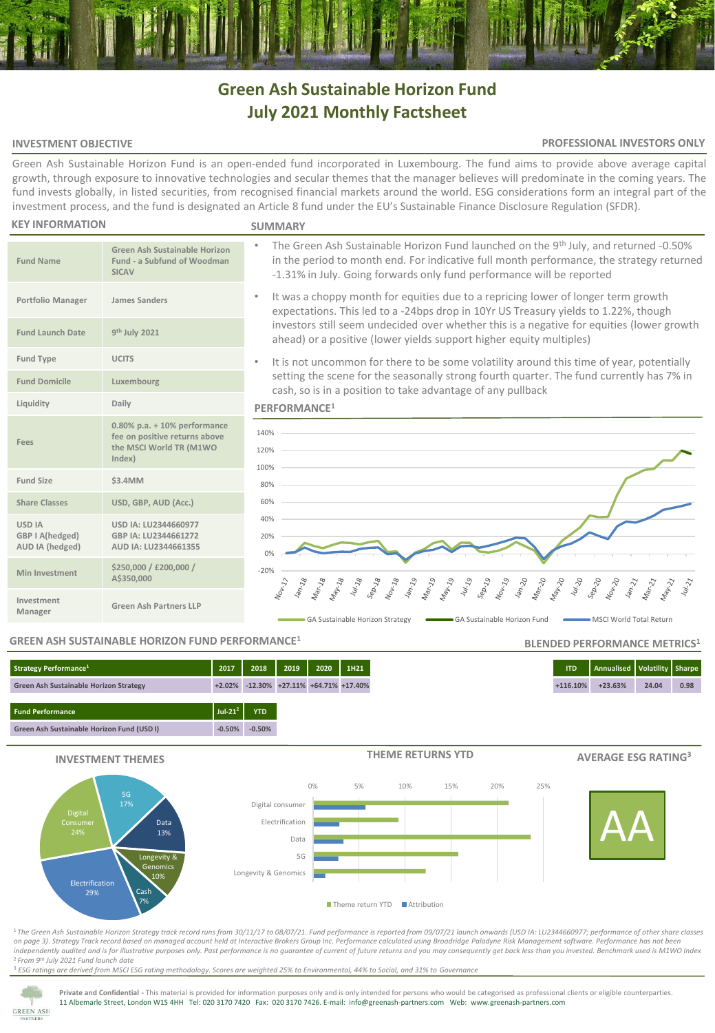# **Green Ash Sustainable Horizon Fund July 2021 Monthly Factsheet**

# **INVESTMENT OBJECTIVE**

## **PROFESSIONAL INVESTORS ONLY**

Green Ash Sustainable Horizon Fund is an open-ended fund incorporated in Luxembourg. The fund aims to provide above average capital growth, through exposure to innovative technologies and secular themes that the manager believes will predominate in the coming years. The fund invests globally, in listed securities, from recognised financial markets around the world. ESG considerations form an integral part of the investment process, and the fund is designated an Article 8 fund under the EU's Sustainable Finance Disclosure Regulation (SFDR).

#### **KEY INFORMATION**

#### **SUMMARY**

- **Fund Name Green Ash Sustainable Horizon Fund - a Subfund of Woodman SICAV Portfolio Manager James Sanders Fund Launch Date th July 2021 Fund Type UCITS Fund Domicile Luxembourg Liquidity Daily Fees 0.80% p.a. + 10% performance fee on positive returns above the MSCI World TR (M1WO Index) Fund Size \$3.4MM Share Classes USD, GBP, AUD (Acc.) USD IA GBP I A(hedged) AUD IA (hedged) USD IA: LU2344660977 GBP IA: LU2344661272 AUD IA: LU2344661355 Min Investment \$250,000 / £200,000 / A\$350,000 Investment Manager Green Ash Partners LLP** -20% 0% 20% 40% 60% 80% 100% 120% 140%
- The Green Ash Sustainable Horizon Fund launched on the 9<sup>th</sup> July, and returned -0.50% in the period to month end. For indicative full month performance, the strategy returned -1.31% in July. Going forwards only fund performance will be reported
	- It was a choppy month for equities due to a repricing lower of longer term growth expectations. This led to a -24bps drop in 10Yr US Treasury yields to 1.22%, though investors still seem undecided over whether this is a negative for equities (lower growth ahead) or a positive (lower yields support higher equity multiples)
	- It is not uncommon for there to be some volatility around this time of year, potentially setting the scene for the seasonally strong fourth quarter. The fund currently has 7% in cash, so is in a position to take advantage of any pullback

#### **PERFORMANCE<sup>1</sup>**



# **GREEN ASH SUSTAINABLE HORIZON FUND PERFORMANCE<sup>1</sup>**

| Strategy Performance <sup>1</sup>             | 2017                        | 2018       | 2019                                         | 2020 | 1H21 |
|-----------------------------------------------|-----------------------------|------------|----------------------------------------------|------|------|
| <b>Green Ash Sustainable Horizon Strategy</b> |                             |            | $+2.02\%$ -12.30% $+27.11\%$ +64.71% +17.40% |      |      |
| <b>Fund Performance</b>                       | Jul-21 <sup>2</sup> $\vert$ | <b>YTD</b> |                                              |      |      |
| Green Ash Sustainable Horizon Fund (USD I)    | $-0.50%$                    | $-0.50%$   |                                              |      |      |





#### **THEME RETURNS YTD**



**BLENDED PERFORMANCE METRICS<sup>1</sup>**





<sup>1</sup>*The Green Ash Sustainable Horizon Strategy track record runs from 30/11/17 to 08/07/21. Fund performance is reported from 09/07/21 launch onwards (USD IA: LU2344660977; performance of other share classes on page 3)*. *Strategy Track record based on managed account held at Interactive Brokers Group Inc. Performance calculated using Broadridge Paladyne Risk Management software. Performance has not been independently audited and is for illustrative purposes only. Past performance is no guarantee of current of future returns and you may consequently get back less than you invested. Benchmark used is M1WO Index* <sup>2</sup>*From 9th July 2021 Fund launch date*

<sup>3</sup> *ESG ratings are derived from MSCI ESG rating methodology. Scores are weighted 25% to Environmental, 44% to Social, and 31% to Governance*



**Private and Confidential -** This material is provided for information purposes only and is only intended for persons who would be categorised as professional clients or eligible counterparties. 11 Albemarle Street, London W1S 4HH Tel: 020 3170 7420 Fax: 020 3170 7426. E-mail: info@greenash-partners.com Web: www.greenash-partners.com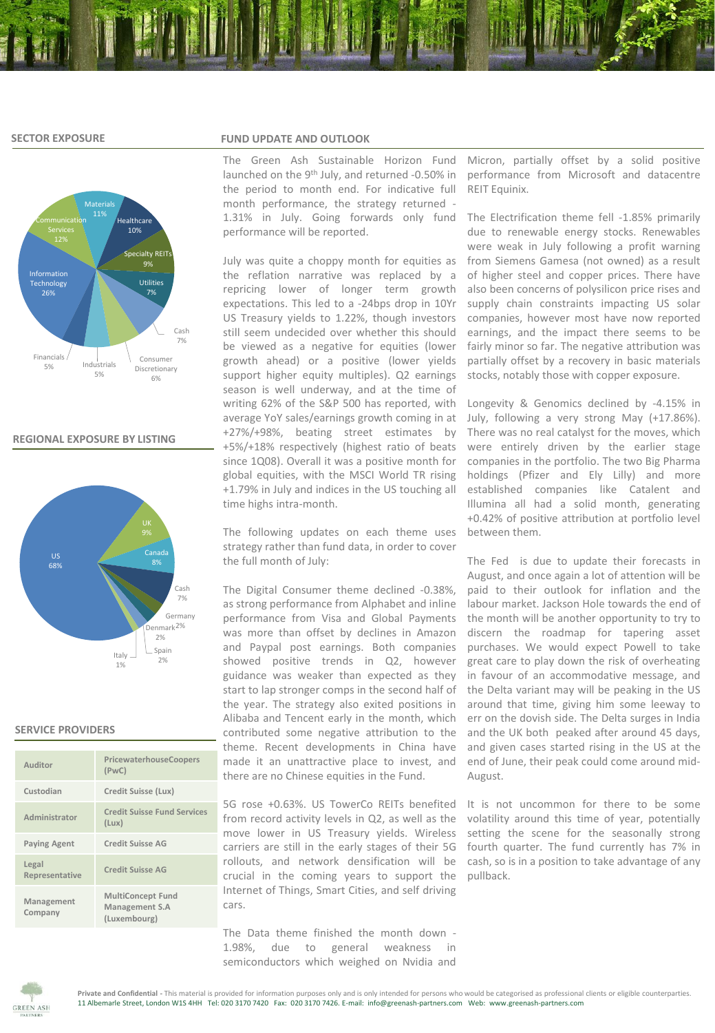## **SECTOR EXPOSURE**



# **REGIONAL EXPOSURE BY LISTING**



# **SERVICE PROVIDERS**

| Auditor                 | PricewaterhouseCoopers<br>(PwC)                            |
|-------------------------|------------------------------------------------------------|
| Custodian               | Credit Suisse (Lux)                                        |
| Administrator           | <b>Credit Suisse Fund Services</b><br>(Lux)                |
| <b>Paying Agent</b>     | Credit Suisse AG                                           |
| Legal<br>Representative | <b>Credit Suisse AG</b>                                    |
| Management<br>Company   | <b>MultiConcept Fund</b><br>Management S.A<br>(Luxembourg) |

#### **FUND UPDATE AND OUTLOOK**

The Green Ash Sustainable Horizon Fund launched on the 9<sup>th</sup> July, and returned -0.50% in the period to month end. For indicative full month performance, the strategy returned - 1.31% in July. Going forwards only fund performance will be reported.

July was quite a choppy month for equities as the reflation narrative was replaced by a repricing lower of longer term growth expectations. This led to a -24bps drop in 10Yr US Treasury yields to 1.22%, though investors still seem undecided over whether this should be viewed as a negative for equities (lower growth ahead) or a positive (lower yields support higher equity multiples). Q2 earnings season is well underway, and at the time of writing 62% of the S&P 500 has reported, with average YoY sales/earnings growth coming in at +27%/+98%, beating street estimates by +5%/+18% respectively (highest ratio of beats since 1Q08). Overall it was a positive month for global equities, with the MSCI World TR rising +1.79% in July and indices in the US touching all time highs intra-month.

The following updates on each theme uses strategy rather than fund data, in order to cover the full month of July:

The Digital Consumer theme declined -0.38%, as strong performance from Alphabet and inline performance from Visa and Global Payments was more than offset by declines in Amazon and Paypal post earnings. Both companies showed positive trends in Q2, however guidance was weaker than expected as they start to lap stronger comps in the second half of the year. The strategy also exited positions in Alibaba and Tencent early in the month, which contributed some negative attribution to the theme. Recent developments in China have made it an unattractive place to invest, and there are no Chinese equities in the Fund.

5G rose +0.63%. US TowerCo REITs benefited from record activity levels in Q2, as well as the move lower in US Treasury yields. Wireless carriers are still in the early stages of their 5G rollouts, and network densification will be crucial in the coming years to support the Internet of Things, Smart Cities, and self driving cars.

The Data theme finished the month down - 1.98%, due to general weakness in semiconductors which weighed on Nvidia and Micron, partially offset by a solid positive performance from Microsoft and datacentre REIT Equinix.

The Electrification theme fell -1.85% primarily due to renewable energy stocks. Renewables were weak in July following a profit warning from Siemens Gamesa (not owned) as a result of higher steel and copper prices. There have also been concerns of polysilicon price rises and supply chain constraints impacting US solar companies, however most have now reported earnings, and the impact there seems to be fairly minor so far. The negative attribution was partially offset by a recovery in basic materials stocks, notably those with copper exposure.

Longevity & Genomics declined by -4.15% in July, following a very strong May (+17.86%). There was no real catalyst for the moves, which were entirely driven by the earlier stage companies in the portfolio. The two Big Pharma holdings (Pfizer and Ely Lilly) and more established companies like Catalent and Illumina all had a solid month, generating +0.42% of positive attribution at portfolio level between them.

The Fed is due to update their forecasts in August, and once again a lot of attention will be paid to their outlook for inflation and the labour market. Jackson Hole towards the end of the month will be another opportunity to try to discern the roadmap for tapering asset purchases. We would expect Powell to take great care to play down the risk of overheating in favour of an accommodative message, and the Delta variant may will be peaking in the US around that time, giving him some leeway to err on the dovish side. The Delta surges in India and the UK both peaked after around 45 days, and given cases started rising in the US at the end of June, their peak could come around mid-August.

It is not uncommon for there to be some volatility around this time of year, potentially setting the scene for the seasonally strong fourth quarter. The fund currently has 7% in cash, so is in a position to take advantage of any pullback.